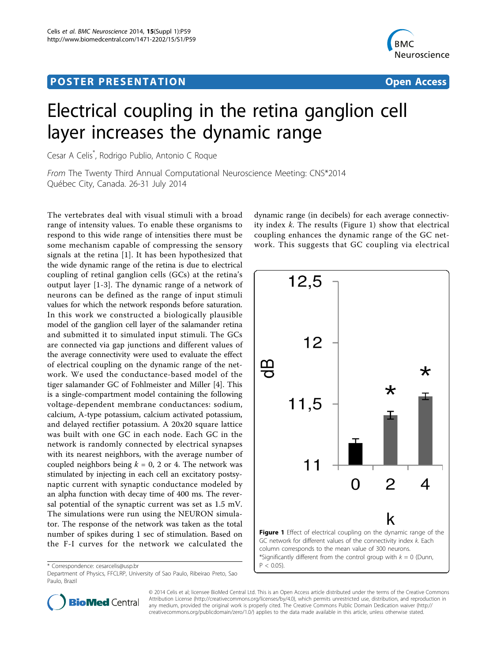# Post Experimental Police in the St English Police in the St English Police in the St English Police in the St<br>Police in the St English Police in the St English Police in the St English Police in the St English Police in



# Electrical coupling in the retina ganglion cell layer increases the dynamic range

Cesar A Celis\* , Rodrigo Publio, Antonio C Roque

From The Twenty Third Annual Computational Neuroscience Meeting: CNS\*2014 Québec City, Canada. 26-31 July 2014

The vertebrates deal with visual stimuli with a broad range of intensity values. To enable these organisms to respond to this wide range of intensities there must be some mechanism capable of compressing the sensory signals at the retina [[1](#page-1-0)]. It has been hypothesized that the wide dynamic range of the retina is due to electrical coupling of retinal ganglion cells (GCs) at the retina's output layer [\[1-3](#page-1-0)]. The dynamic range of a network of neurons can be defined as the range of input stimuli values for which the network responds before saturation. In this work we constructed a biologically plausible model of the ganglion cell layer of the salamander retina and submitted it to simulated input stimuli. The GCs are connected via gap junctions and different values of the average connectivity were used to evaluate the effect of electrical coupling on the dynamic range of the network. We used the conductance-based model of the tiger salamander GC of Fohlmeister and Miller [[4\]](#page-1-0). This is a single-compartment model containing the following voltage-dependent membrane conductances: sodium, calcium, A-type potassium, calcium activated potassium, and delayed rectifier potassium. A 20x20 square lattice was built with one GC in each node. Each GC in the network is randomly connected by electrical synapses with its nearest neighbors, with the average number of coupled neighbors being  $k = 0$ , 2 or 4. The network was stimulated by injecting in each cell an excitatory postsynaptic current with synaptic conductance modeled by an alpha function with decay time of 400 ms. The reversal potential of the synaptic current was set as 1.5 mV. The simulations were run using the NEURON simulator. The response of the network was taken as the total number of spikes during 1 sec of stimulation. Based on the F-I curves for the network we calculated the

\* Correspondence: [cesarcelis@usp.br](mailto:cesarcelis@usp.br)

Department of Physics, FFCLRP, University of Sao Paulo, Ribeirao Preto, Sao Paulo, Brazil

dynamic range (in decibels) for each average connectivity index  $k$ . The results (Figure 1) show that electrical coupling enhances the dynamic range of the GC network. This suggests that GC coupling via electrical





© 2014 Celis et al; licensee BioMed Central Ltd. This is an Open Access article distributed under the terms of the Creative Commons Attribution License [\(http://creativecommons.org/licenses/by/4.0](http://creativecommons.org/licenses/by/4.0)), which permits unrestricted use, distribution, and reproduction in any medium, provided the original work is properly cited. The Creative Commons Public Domain Dedication waiver [\(http://](http://creativecommons.org/publicdomain/zero/1.0/) [creativecommons.org/publicdomain/zero/1.0/](http://creativecommons.org/publicdomain/zero/1.0/)) applies to the data made available in this article, unless otherwise stated.